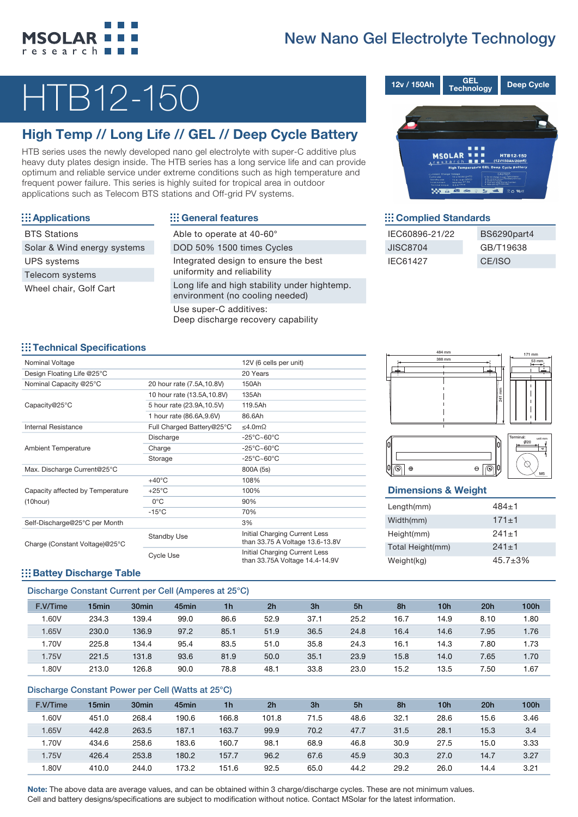# New Nano Gel Electrolyte Technology



# HTB12-150

## High Temp // Long Life // GEL // Deep Cycle Battery

HTB series uses the newly developed nano gel electrolyte with super-C additive plus heavy duty plates design inside. The HTB series has a long service life and can provide optimum and reliable service under extreme conditions such as high temperature and frequent power failure. This series is highly suited for tropical area in outdoor applications such as Telecom BTS stations and Off-grid PV systems.

| ::: Applications            |
|-----------------------------|
| <b>BTS Stations</b>         |
| Solar & Wind energy systems |
| <b>UPS</b> systems          |
| Telecom systems             |
| Wheel chair, Golf Cart      |

## ::: General features

| Able to operate at 40-60°                                                       |
|---------------------------------------------------------------------------------|
| DOD 50% 1500 times Cycles                                                       |
| Integrated design to ensure the best<br>uniformity and reliability              |
| Long life and high stability under hightemp.<br>environment (no cooling needed) |
| Use super-C additives:<br>Deep discharge recovery capability                    |



#### ::: Complied Standards

| IEC60896-21/22 | BS6290part4 |
|----------------|-------------|
| JISC8704       | GB/T19638   |
| IEC61427       | CE/ISO      |

### ::: Technical Specifications

| Nominal Voltage                  |                             | 12V (6 cells per unit)                                           |
|----------------------------------|-----------------------------|------------------------------------------------------------------|
| Design Floating Life @25°C       |                             | 20 Years                                                         |
| Nominal Capacity @25°C           | 20 hour rate (7.5A,10.8V)   | 150Ah                                                            |
|                                  | 10 hour rate (13.5A, 10.8V) | 135Ah                                                            |
| Capacity@25°C                    | 5 hour rate (23.9A, 10.5V)  | 119.5Ah                                                          |
|                                  | 1 hour rate (86.6A, 9.6V)   | 86.6Ah                                                           |
| Internal Resistance              | Full Charged Battery@25°C   | ≤4.0mΩ                                                           |
|                                  | Discharge                   | $-25^{\circ}$ C $\sim$ 60 $^{\circ}$ C                           |
| <b>Ambient Temperature</b>       | Charge                      | $-25^{\circ}$ C $\sim$ 60 $^{\circ}$ C                           |
|                                  | Storage                     | $-25^{\circ}$ C $\sim$ 60 $^{\circ}$ C                           |
| Max. Discharge Current@25°C      |                             | 800A (5s)                                                        |
|                                  | $+40^{\circ}$ C             | 108%                                                             |
| Capacity affected by Temperature | $+25^{\circ}$ C             | 100%                                                             |
| $(10$ hour $)$                   | $0^{\circ}$ C               | 90%                                                              |
|                                  | $-15^{\circ}$ C             | 70%                                                              |
| Self-Discharge@25°C per Month    |                             | 3%                                                               |
| Charge (Constant Voltage)@25°C   | <b>Standby Use</b>          | Initial Charging Current Less<br>than 33.75 A Voltage 13.6-13.8V |
|                                  | <b>Cycle Use</b>            | Initial Charging Current Less<br>than 33.75A Voltage 14.4-14.9V  |





### Dimensions & Weight

| Length(mm)       | $484+1$        |
|------------------|----------------|
| Width(mm)        | $171 + 1$      |
| Height(mm)       | $241+1$        |
| Total Height(mm) | $241+1$        |
| Weight(kg)       | $45.7 \pm 3\%$ |

### **Battey Discharge Table**

### Discharge Constant Current per Cell (Amperes at 25°C)

| $\sim$   |                   |                   |                   |                |                |                |      |      |      |      |      |
|----------|-------------------|-------------------|-------------------|----------------|----------------|----------------|------|------|------|------|------|
| F.V/Time | 15 <sub>min</sub> | 30 <sub>min</sub> | 45 <sub>min</sub> | 1 <sub>h</sub> | 2 <sub>h</sub> | 3 <sub>h</sub> | 5h   | 8h   | 10h  | 20h  | 100h |
| .60V     | 234.3             | 139.4             | 99.0              | 86.6           | 52.9           | 37.1           | 25.2 | 16.7 | 14.9 | 8.10 | 1.80 |
| 1.65V    | 230.0             | 136.9             | 97.2              | 85.1           | 51.9           | 36.5           | 24.8 | 16.4 | 14.6 | 7.95 | 1.76 |
| 1.70V    | 225.8             | 134.4             | 95.4              | 83.5           | 51.0           | 35.8           | 24.3 | 16.1 | 14.3 | 7.80 | 1.73 |
| 1.75V    | 221.5             | 131.8             | 93.6              | 81.9           | 50.0           | 35.1           | 23.9 | 15.8 | 14.0 | 7.65 | 1.70 |
| .80V     | 213.0             | 126.8             | 90.0              | 78.8           | 48.1           | 33.8           | 23.0 | 15.2 | 13.5 | 7.50 | 1.67 |

#### Discharge Constant Power per Cell (Watts at 25°C)

| F.V/Time | 15 <sub>min</sub> | 30 <sub>min</sub> | 45 <sub>min</sub> | 1 <sub>h</sub> | 2 <sub>h</sub> | 3 <sub>h</sub> | 5h   | 8h   | 10 <sub>h</sub> | 20h  | 100h |
|----------|-------------------|-------------------|-------------------|----------------|----------------|----------------|------|------|-----------------|------|------|
| .60V     | 451.0             | 268.4             | 190.6             | 166.8          | 101.8          | 71.5           | 48.6 | 32.1 | 28.6            | 15.6 | 3.46 |
| .65V     | 442.8             | 263.5             | 187.1             | 163.7          | 99.9           | 70.2           | 47.7 | 31.5 | 28.1            | 15.3 | 3.4  |
| .70V     | 434.6             | 258.6             | 183.6             | 160.7          | 98.1           | 68.9           | 46.8 | 30.9 | 27.5            | 15.0 | 3.33 |
| 1.75V    | 426.4             | 253.8             | 180.2             | 157.7          | 96.2           | 67.6           | 45.9 | 30.3 | 27.0            | 14.7 | 3.27 |
| .80V     | 410.0             | 244.0             | 173.2             | 151.6          | 92.5           | 65.0           | 44.2 | 29.2 | 26.0            | 14.4 | 3.21 |

Note: The above data are average values, and can be obtained within 3 charge/discharge cycles. These are not minimum values. Cell and battery designs/specifications are subject to modification without notice. Contact MSolar for the latest information.